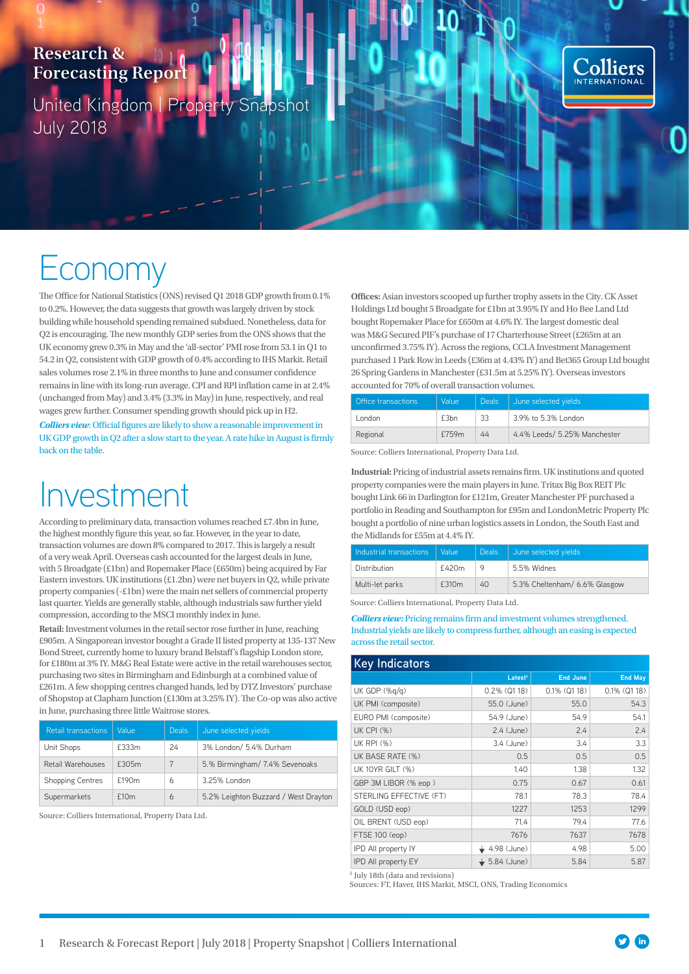### **Research & Forecasting Report**

United Kingdom | Property Snapshot July 2018

C



# Economy

The Office for National Statistics (ONS) revised Q1 2018 GDP growth from 0.1% to 0.2%. However, the data suggests that growth was largely driven by stock building while household spending remained subdued. Nonetheless, data for Q2 is encouraging. The new monthly GDP series from the ONS shows that the UK economy grew 0.3% in May and the 'all-sector' PMI rose from 53.1 in Q1 to 54.2 in Q2, consistent with GDP growth of 0.4% according to IHS Markit. Retail sales volumes rose 2.1% in three months to June and consumer confidence remains in line with its long-run average. CPI and RPI inflation came in at 2.4% (unchanged from May) and 3.4% (3.3% in May) in June, respectively, and real wages grew further. Consumer spending growth should pick up in H2.

*Colliers view*: Official figures are likely to show a reasonable improvement in UK GDP growth in Q2 after a slow start to the year. A rate hike in August is firmly back on the table.

## Investment

According to preliminary data, transaction volumes reached £7.4bn in June, the highest monthly figure this year, so far. However, in the year to date, transaction volumes are down 8% compared to 2017. This is largely a result of a very weak April. Overseas cash accounted for the largest deals in June, with 5 Broadgate (£1bn) and Ropemaker Place (£650m) being acquired by Far Eastern investors. UK institutions (£1.2bn) were net buyers in Q2, while private property companies (-£1bn) were the main net sellers of commercial property last quarter. Yields are generally stable, although industrials saw further yield compression, according to the MSCI monthly index in June.

**Retail:** Investment volumes in the retail sector rose further in June, reaching £905m. A Singaporean investor bought a Grade II listed property at 135-137 New Bond Street, currently home to luxury brand Belstaff's flagship London store, for £180m at 3% IY. M&G Real Estate were active in the retail warehouses sector, purchasing two sites in Birmingham and Edinburgh at a combined value of £261m. A few shopping centres changed hands, led by DTZ Investors' purchase of Shopstop at Clapham Junction (£130m at 3.25% IY). The Co-op was also active in June, purchasing three little Waitrose stores.

| <b>Retail transactions</b> | Value | <b>Deals</b> | June selected yields                 |
|----------------------------|-------|--------------|--------------------------------------|
| Unit Shops                 | £333m | 24           | 3% London/ 5.4% Durham               |
| Retail Warehouses          | £305m |              | 5.% Birmingham/ 7.4% Sevenoaks       |
| Shopping Centres           | £190m | 6            | 3.25% London                         |
| Supermarkets               | f10m  | 6            | 5.2% Leighton Buzzard / West Drayton |

Source: Colliers International, Property Data Ltd.

**Offices:** Asian investors scooped up further trophy assets in the City. CK Asset Holdings Ltd bought 5 Broadgate for £1bn at 3.95% IY and Ho Bee Land Ltd bought Ropemaker Place for £650m at 4.6% IY. The largest domestic deal was M&G Secured PIF's purchase of 17 Charterhouse Street (£265m at an unconfirmed 3.75% IY). Across the regions, CCLA Investment Management purchased 1 Park Row in Leeds (£36m at 4.43% IY) and Bet365 Group Ltd bought 26 Spring Gardens in Manchester (£31.5m at 5.25% IY). Overseas investors accounted for 70% of overall transaction volumes.

| Office transactions | Value            | <b>Deals</b> | June selected yields         |
|---------------------|------------------|--------------|------------------------------|
| London              | £3 <sub>bn</sub> | 33           | 3.9% to 5.3% London          |
| Regional            | £759m            | 44           | 4.4% Leeds/ 5.25% Manchester |

Source: Colliers International, Property Data Ltd.

**Industrial:** Pricing of industrial assets remains firm. UK institutions and quoted property companies were the main players in June. Tritax Big Box REIT Plc bought Link 66 in Darlington for £121m, Greater Manchester PF purchased a portfolio in Reading and Southampton for £95m and LondonMetric Property Plc bought a portfolio of nine urban logistics assets in London, the South East and the Midlands for £55m at 4.4% IY.

| Industrial transactions | Value | <b>Deals</b> | June selected vields          |
|-------------------------|-------|--------------|-------------------------------|
| Distribution            | £420m | Q            | 5.5% Widnes                   |
| Multi-let parks         | £310m | 40           | 5.3% Cheltenham/ 6.6% Glasgow |

Source: Colliers International, Property Data Ltd.

*Colliers view:* Pricing remains firm and investment volumes strengthened. Industrial yields are likely to compress further, although an easing is expected across the retail sector.

| <b>Key Indicators</b>   |                     |                 |                 |  |  |
|-------------------------|---------------------|-----------------|-----------------|--|--|
|                         | Latest <sup>1</sup> | <b>End June</b> | <b>End May</b>  |  |  |
| UK GDP (%g/g)           | $0.2\%$ (Q1 18)     | $0.1\%$ (Q1 18) | $0.1\%$ (Q1 18) |  |  |
| UK PMI (composite)      | 55.0 (June)         | 55.0            | 54.3            |  |  |
| EURO PMI (composite)    | 54.9 (June)         | 54.9            | 54.1            |  |  |
| <b>UK CPI (%)</b>       | $2.4$ (June)        | 2.4             | 2.4             |  |  |
| <b>UK RPI (%)</b>       | 3.4 (June)          | 3.4             | 3.3             |  |  |
| UK BASE RATE (%)        | 0.5                 | 0.5             | 0.5             |  |  |
| UK 10YR GILT (%)        | 1.40                | 1.38            | 1.32            |  |  |
| GBP 3M LIBOR (% eop)    | 0.75                | 0.67            | 0.61            |  |  |
| STERLING EFFECTIVE (FT) | 78.1                | 78.3            | 78.4            |  |  |
| GOLD (USD eop)          | 1227                | 1253            | 1299            |  |  |
| OIL BRENT (USD eop)     | 71.4                | 79.4            | 77.6            |  |  |
| FTSE 100 (eop)          | 7676                | 7637            | 7678            |  |  |
| IPD All property IY     | 4.98 (June)         | 4.98            | 5.00            |  |  |
| IPD All property EY     | 5.84 (June)         | 5.84            | 5.87            |  |  |

 $<sup>1</sup>$  July 18th (data and revisions)</sup>

Sources: FT, Haver, IHS Markit, MSCI, ONS, Trading Economics